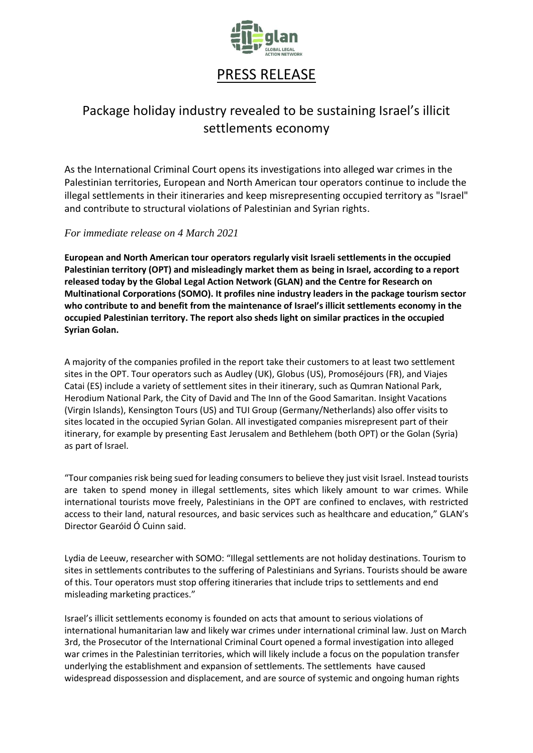

# PRESS RELEASE

## Package holiday industry revealed to be sustaining Israel's illicit settlements economy

As the International Criminal Court opens its investigations into alleged war crimes in the Palestinian territories, European and North American tour operators continue to include the illegal settlements in their itineraries and keep misrepresenting occupied territory as "Israel" and contribute to structural violations of Palestinian and Syrian rights.

## *For immediate release on 4 March 2021*

**European and North American tour operators regularly visit Israeli settlements in the occupied Palestinian territory (OPT) and misleadingly market them as being in Israel, according to a report released today by the Global Legal Action Network (GLAN) and the Centre for Research on Multinational Corporations (SOMO). It profiles nine industry leaders in the package tourism sector who contribute to and benefit from the maintenance of Israel's illicit settlements economy in the occupied Palestinian territory. The report also sheds light on similar practices in the occupied Syrian Golan.**

A majority of the companies profiled in the report take their customers to at least two settlement sites in the OPT. Tour operators such as Audley (UK), Globus (US), Promoséjours (FR), and Viajes Catai (ES) include a variety of settlement sites in their itinerary, such as Qumran National Park, Herodium National Park, the City of David and The Inn of the Good Samaritan. Insight Vacations (Virgin Islands), Kensington Tours (US) and TUI Group (Germany/Netherlands) also offer visits to sites located in the occupied Syrian Golan. All investigated companies misrepresent part of their itinerary, for example by presenting East Jerusalem and Bethlehem (both OPT) or the Golan (Syria) as part of Israel.

"Tour companies risk being sued for leading consumers to believe they just visit Israel. Instead tourists are taken to spend money in illegal settlements, sites which likely amount to war crimes. While international tourists move freely, Palestinians in the OPT are confined to enclaves, with restricted access to their land, natural resources, and basic services such as healthcare and education," GLAN's Director Gearóid Ó Cuinn said.

Lydia de Leeuw, researcher with SOMO: "Illegal settlements are not holiday destinations. Tourism to sites in settlements contributes to the suffering of Palestinians and Syrians. Tourists should be aware of this. Tour operators must stop offering itineraries that include trips to settlements and end misleading marketing practices."

Israel's illicit settlements economy is founded on acts that amount to serious violations of international humanitarian law and likely war crimes under international criminal law. Just on March 3rd, the Prosecutor of the International Criminal Court opened a formal investigation into alleged war crimes in the Palestinian territories, which will likely include a focus on the population transfer underlying the establishment and expansion of settlements. The settlements have caused widespread dispossession and displacement, and are source of systemic and ongoing human rights